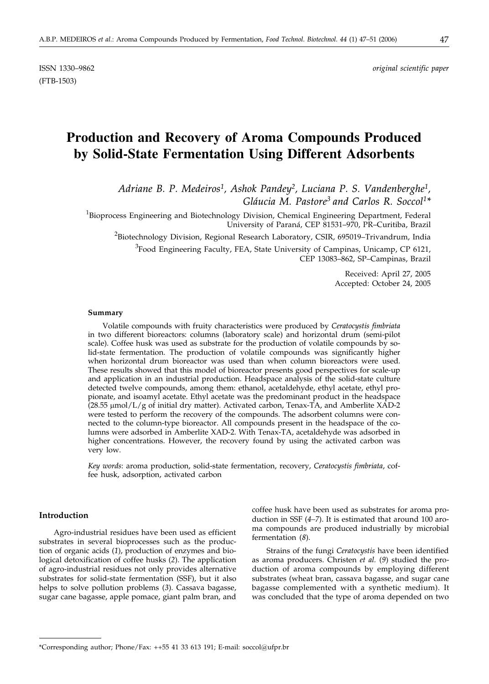ISSN 1330–9862 *original scientific paper*

# **Production and Recovery of Aroma Compounds Produced by Solid-State Fermentation Using Different Adsorbents**

*Adriane B. P. Medeiros1, Ashok Pandey2, Luciana P. S. Vandenberghe1, Gláucia M. Pastore3 and Carlos R. Soccol1\**

<sup>1</sup>Bioprocess Engineering and Biotechnology Division, Chemical Engineering Department, Federal University of Paraná, CEP 81531–970, PR–Curitiba, Brazil

 $^2$ Biotechnology Division, Regional Research Laboratory, CSIR, 695019–Trivandrum, India

<sup>3</sup> Food Engineering Faculty, FEA, State University of Campinas, Unicamp, CP 6121, CEP 13083–862, SP–Campinas, Brazil

> Received: April 27, 2005 Accepted: October 24, 2005

#### **Summary**

Volatile compounds with fruity characteristics were produced by *Ceratocystis fimbriata* in two different bioreactors: columns (laboratory scale) and horizontal drum (semi-pilot scale). Coffee husk was used as substrate for the production of volatile compounds by solid-state fermentation. The production of volatile compounds was significantly higher when horizontal drum bioreactor was used than when column bioreactors were used. These results showed that this model of bioreactor presents good perspectives for scale-up and application in an industrial production. Headspace analysis of the solid-state culture detected twelve compounds, among them: ethanol, acetaldehyde, ethyl acetate, ethyl propionate, and isoamyl acetate. Ethyl acetate was the predominant product in the headspace  $(28.55 \mu \text{mol/L/g of initial dry matter})$ . Activated carbon, Tenax-TA, and Amberlite XAD-2 were tested to perform the recovery of the compounds. The adsorbent columns were connected to the column-type bioreactor. All compounds present in the headspace of the columns were adsorbed in Amberlite XAD-2. With Tenax-TA, acetaldehyde was adsorbed in higher concentrations. However, the recovery found by using the activated carbon was very low.

*Key words*: aroma production, solid-state fermentation, recovery, *Ceratocystis fimbriata*, coffee husk, adsorption, activated carbon

### **Introduction**

Agro-industrial residues have been used as efficient substrates in several bioprocesses such as the production of organic acids (*1*), production of enzymes and biological detoxification of coffee husks (*2*). The application of agro-industrial residues not only provides alternative substrates for solid-state fermentation (SSF), but it also helps to solve pollution problems (*3*). Cassava bagasse, sugar cane bagasse, apple pomace, giant palm bran, and

coffee husk have been used as substrates for aroma production in SSF (*4–7*). It is estimated that around 100 aroma compounds are produced industrially by microbial fermentation (*8*).

Strains of the fungi *Ceratocystis* have been identified as aroma producers. Christen *et al.* (*9*) studied the production of aroma compounds by employing different substrates (wheat bran, cassava bagasse, and sugar cane bagasse complemented with a synthetic medium). It was concluded that the type of aroma depended on two

<sup>\*</sup>Corresponding author; Phone/Fax: ++55 41 33 613 191; E-mail: soccol@ufpr.br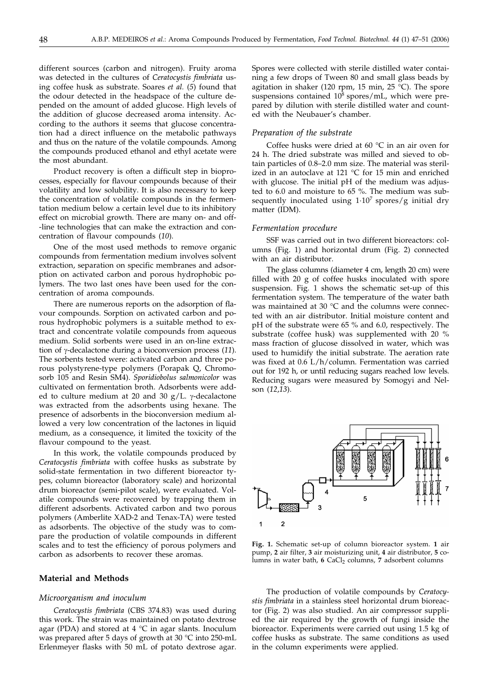different sources (carbon and nitrogen). Fruity aroma was detected in the cultures of *Ceratocystis fimbriata* using coffee husk as substrate. Soares *et al.* (*5*) found that the odour detected in the headspace of the culture depended on the amount of added glucose. High levels of the addition of glucose decreased aroma intensity. According to the authors it seems that glucose concentration had a direct influence on the metabolic pathways and thus on the nature of the volatile compounds. Among the compounds produced ethanol and ethyl acetate were the most abundant.

Product recovery is often a difficult step in bioprocesses, especially for flavour compounds because of their volatility and low solubility. It is also necessary to keep the concentration of volatile compounds in the fermentation medium below a certain level due to its inhibitory effect on microbial growth. There are many on- and off- -line technologies that can make the extraction and concentration of flavour compounds (*10*).

One of the most used methods to remove organic compounds from fermentation medium involves solvent extraction, separation on specific membranes and adsorption on activated carbon and porous hydrophobic polymers. The two last ones have been used for the concentration of aroma compounds.

There are numerous reports on the adsorption of flavour compounds. Sorption on activated carbon and porous hydrophobic polymers is a suitable method to extract and concentrate volatile compounds from aqueous medium. Solid sorbents were used in an on-line extraction of  $\gamma$ -decalactone during a bioconversion process (11). The sorbents tested were: activated carbon and three porous polystyrene-type polymers (Porapak Q, Chromosorb 105 and Resin SM4). *Sporidiobolus salmonicolor* was cultivated on fermentation broth. Adsorbents were added to culture medium at 20 and 30  $g/L$ .  $\gamma$ -decalactone was extracted from the adsorbents using hexane. The presence of adsorbents in the bioconversion medium allowed a very low concentration of the lactones in liquid medium, as a consequence, it limited the toxicity of the flavour compound to the yeast.

In this work, the volatile compounds produced by *Ceratocystis fimbriata* with coffee husks as substrate by solid-state fermentation in two different bioreactor types, column bioreactor (laboratory scale) and horizontal drum bioreactor (semi-pilot scale), were evaluated. Volatile compounds were recovered by trapping them in different adsorbents. Activated carbon and two porous polymers (Amberlite XAD-2 and Tenax-TA) were tested as adsorbents. The objective of the study was to compare the production of volatile compounds in different scales and to test the efficiency of porous polymers and carbon as adsorbents to recover these aromas.

# **Material and Methods**

#### *Microorganism and inoculum*

*Ceratocystis fimbriata* (CBS 374.83) was used during this work. The strain was maintained on potato dextrose agar (PDA) and stored at  $4 °C$  in agar slants. Inoculum was prepared after 5 days of growth at 30 °C into 250-mL Erlenmeyer flasks with 50 mL of potato dextrose agar.

Spores were collected with sterile distilled water containing a few drops of Tween 80 and small glass beads by agitation in shaker (120 rpm, 15 min, 25  $^{\circ}$ C). The spore suspensions contained  $10^8$  spores/mL, which were prepared by dilution with sterile distilled water and counted with the Neubauer's chamber.

#### *Preparation of the substrate*

Coffee husks were dried at  $60^{\circ}$ C in an air oven for 24 h. The dried substrate was milled and sieved to obtain particles of 0.8–2.0 mm size. The material was sterilized in an autoclave at 121 °C for 15 min and enriched with glucose. The initial pH of the medium was adjusted to 6.0 and moisture to 65 %. The medium was subsequently inoculated using  $1.10^7$  spores/g initial dry matter (IDM).

#### *Fermentation procedure*

SSF was carried out in two different bioreactors: columns (Fig. 1) and horizontal drum (Fig. 2) connected with an air distributor.

The glass columns (diameter 4 cm, length 20 cm) were filled with 20 g of coffee husks inoculated with spore suspension. Fig. 1 shows the schematic set-up of this fermentation system. The temperature of the water bath was maintained at 30 °C and the columns were connected with an air distributor. Initial moisture content and pH of the substrate were 65 % and 6.0, respectively. The substrate (coffee husk) was supplemented with 20 % mass fraction of glucose dissolved in water, which was used to humidify the initial substrate. The aeration rate was fixed at 0.6 L/h/column. Fermentation was carried out for 192 h, or until reducing sugars reached low levels. Reducing sugars were measured by Somogyi and Nelson (*12*,*13*).



**Fig. 1.** Schematic set-up of column bioreactor system. **1** air pump, **2** air filter, **3** air moisturizing unit, **4** air distributor, **5** columns in water bath, 6 CaCl<sub>2</sub> columns, 7 adsorbent columns

The production of volatile compounds by *Ceratocystis fimbriata* in a stainless steel horizontal drum bioreactor (Fig. 2) was also studied. An air compressor supplied the air required by the growth of fungi inside the bioreactor*.* Experiments were carried out using 1.5 kg of coffee husks as substrate. The same conditions as used in the column experiments were applied.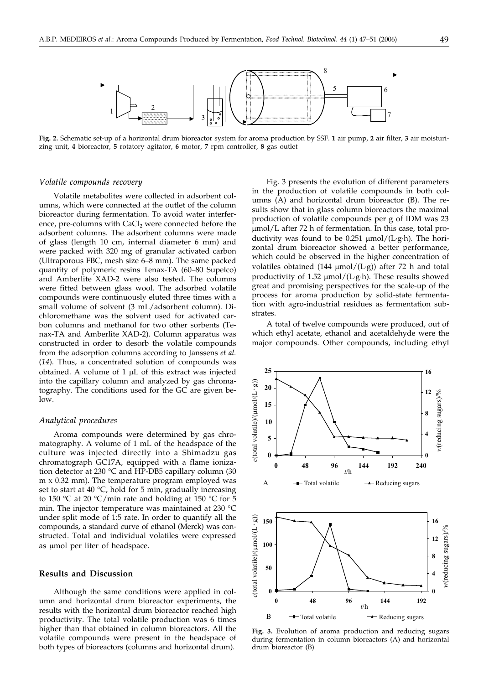

**Fig. 2.** Schematic set-up of a horizontal drum bioreactor system for aroma production by SSF. **1** air pump, **2** air filter, **3** air moisturizing unit, **4** bioreactor, **5** rotatory agitator, **6** motor, **7** rpm controller, **8** gas outlet

#### *Volatile compounds recovery*

Volatile metabolites were collected in adsorbent columns, which were connected at the outlet of the column bioreactor during fermentation. To avoid water interference, pre-columns with  $CaCl<sub>2</sub>$  were connected before the adsorbent columns. The adsorbent columns were made of glass (length 10 cm, internal diameter 6 mm) and were packed with 320 mg of granular activated carbon (Ultraporous FBC, mesh size 6–8 mm). The same packed quantity of polymeric resins Tenax-TA (60–80 Supelco) and Amberlite XAD-2 were also tested. The columns were fitted between glass wool. The adsorbed volatile compounds were continuously eluted three times with a small volume of solvent (3 mL/adsorbent column). Dichloromethane was the solvent used for activated carbon columns and methanol for two other sorbents (Tenax-TA and Amberlite XAD-2). Column apparatus was constructed in order to desorb the volatile compounds from the adsorption columns according to Janssens *et al.* (*14*). Thus, a concentrated solution of compounds was obtained. A volume of  $1 \mu L$  of this extract was injected into the capillary column and analyzed by gas chromatography. The conditions used for the GC are given below.

#### *Analytical procedures*

Aroma compounds were determined by gas chromatography. A volume of 1 mL of the headspace of the culture was injected directly into a Shimadzu gas chromatograph GC17A, equipped with a flame ionization detector at 230 °C and HP-DB5 capillary column (30 m x 0.32 mm). The temperature program employed was set to start at  $40^{\circ}$ C, hold for 5 min, gradually increasing to 150 °C at 20 °C/min rate and holding at 150 °C for 5 min. The injector temperature was maintained at 230 °C under split mode of 1:5 rate. In order to quantify all the compounds, a standard curve of ethanol (Merck) was constructed. Total and individual volatiles were expressed as umol per liter of headspace.

#### **Results and Discussion**

Although the same conditions were applied in column and horizontal drum bioreactor experiments, the results with the horizontal drum bioreactor reached high productivity. The total volatile production was 6 times higher than that obtained in column bioreactors. All the volatile compounds were present in the headspace of both types of bioreactors (columns and horizontal drum).

Fig. 3 presents the evolution of different parameters in the production of volatile compounds in both columns (A) and horizontal drum bioreactor (B). The results show that in glass column bioreactors the maximal production of volatile compounds per g of IDM was 23 mol/L after 72 h of fermentation. In this case, total productivity was found to be  $0.251 \mu \text{mol}/(\text{L·g·h})$ . The horizontal drum bioreactor showed a better performance, which could be observed in the higher concentration of volatiles obtained  $(144 \mu mol/(L·g))$  after 72 h and total productivity of  $1.52 \mu \text{mol}/(\text{L·g·h})$ . These results showed great and promising perspectives for the scale-up of the process for aroma production by solid-state fermentation with agro-industrial residues as fermentation substrates.

A total of twelve compounds were produced, out of which ethyl acetate, ethanol and acetaldehyde were the major compounds. Other compounds, including ethyl



**Fig. 3.** Evolution of aroma production and reducing sugars during fermentation in column bioreactors (A) and horizontal drum bioreactor (B)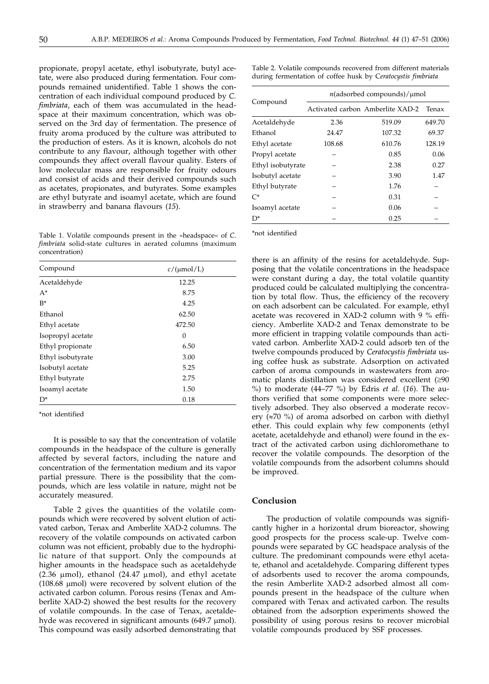propionate, propyl acetate, ethyl isobutyrate, butyl acetate, were also produced during fermentation. Four compounds remained unidentified. Table 1 shows the concentration of each individual compound produced by *C. fimbriata*, each of them was accumulated in the headspace at their maximum concentration, which was observed on the 3rd day of fermentation. The presence of fruity aroma produced by the culture was attributed to the production of esters. As it is known, alcohols do not contribute to any flavour, although together with other compounds they affect overall flavour quality. Esters of low molecular mass are responsible for fruity odours and consist of acids and their derived compounds such as acetates, propionates, and butyrates. Some examples are ethyl butyrate and isoamyl acetate, which are found in strawberry and banana flavours (*15*).

Table 1. Volatile compounds present in the »headspace« of *C. fimbriata* solid-state cultures in aerated columns (maximum concentration)

| Compound          | $c/( \mu m o l/L)$ |
|-------------------|--------------------|
| Acetaldehyde      | 12.25              |
| $A^*$             | 8.75               |
| $R*$              | 4.25               |
| Ethanol           | 62.50              |
| Ethyl acetate     | 472.50             |
| Isopropyl acetate | 0                  |
| Ethyl propionate  | 6.50               |
| Ethyl isobutyrate | 3.00               |
| Isobutyl acetate  | 5.25               |
| Ethyl butyrate    | 2.75               |
| Isoamyl acetate   | 1.50               |
| $D^*$             | 0.18               |

\*not identified

It is possible to say that the concentration of volatile compounds in the headspace of the culture is generally affected by several factors, including the nature and concentration of the fermentation medium and its vapor partial pressure. There is the possibility that the compounds, which are less volatile in nature, might not be accurately measured.

Table 2 gives the quantities of the volatile compounds which were recovered by solvent elution of activated carbon, Tenax and Amberlite XAD-2 columns. The recovery of the volatile compounds on activated carbon column was not efficient, probably due to the hydrophilic nature of that support. Only the compounds at higher amounts in the headspace such as acetaldehyde (2.36  $\mu$ mol), ethanol (24.47  $\mu$ mol), and ethyl acetate (108.68  $\mu$ mol) were recovered by solvent elution of the activated carbon column. Porous resins (Tenax and Amberlite XAD-2) showed the best results for the recovery of volatile compounds. In the case of Tenax, acetaldehyde was recovered in significant amounts (649.7 µmol). This compound was easily adsorbed demonstrating that

Table 2. Volatile compounds recovered from different materials during fermentation of coffee husk by C*eratocystis fimbriata*

| Compound          | $n$ (adsorbed compounds)/ $\mu$ mol |                                  |        |
|-------------------|-------------------------------------|----------------------------------|--------|
|                   |                                     | Activated carbon Amberlite XAD-2 | Tenax  |
| Acetaldehyde      | 2.36                                | 519.09                           | 649.70 |
| Ethanol           | 24.47                               | 107.32                           | 69.37  |
| Ethyl acetate     | 108.68                              | 610.76                           | 128.19 |
| Propyl acetate    |                                     | 0.85                             | 0.06   |
| Ethyl isobutyrate |                                     | 2.38                             | 0.27   |
| Isobutyl acetate  |                                     | 3.90                             | 1.47   |
| Ethyl butyrate    |                                     | 1.76                             |        |
| $C^*$             |                                     | 0.31                             |        |
| Isoamyl acetate   |                                     | 0.06                             |        |
| $D^*$             |                                     | 0.25                             |        |

\*not identified

there is an affinity of the resins for acetaldehyde. Supposing that the volatile concentrations in the headspace were constant during a day, the total volatile quantity produced could be calculated multiplying the concentration by total flow. Thus, the efficiency of the recovery on each adsorbent can be calculated. For example, ethyl acetate was recovered in XAD-2 column with 9 % efficiency. Amberlite XAD-2 and Tenax demonstrate to be more efficient in trapping volatile compounds than activated carbon. Amberlite XAD-2 could adsorb ten of the twelve compounds produced by *Ceratocystis fimbriata* using coffee husk as substrate. Adsorption on activated carbon of aroma compounds in wastewaters from aromatic plants distillation was considered excellent (≥90  $\,$ %) to moderate (44–77 %) by Edris *et al*. (*16*). The authors verified that some components were more selectively adsorbed. They also observed a moderate recovery  $(\approx 70\%)$  of aroma adsorbed on carbon with diethyl ether. This could explain why few components (ethyl acetate, acetaldehyde and ethanol) were found in the extract of the activated carbon using dichloromethane to recover the volatile compounds. The desorption of the volatile compounds from the adsorbent columns should be improved.

# **Conclusion**

The production of volatile compounds was significantly higher in a horizontal drum bioreactor, showing good prospects for the process scale-up. Twelve compounds were separated by GC headspace analysis of the culture. The predominant compounds were ethyl acetate, ethanol and acetaldehyde. Comparing different types of adsorbents used to recover the aroma compounds, the resin Amberlite XAD-2 adsorbed almost all compounds present in the headspace of the culture when compared with Tenax and activated carbon. The results obtained from the adsorption experiments showed the possibility of using porous resins to recover microbial volatile compounds produced by SSF processes.